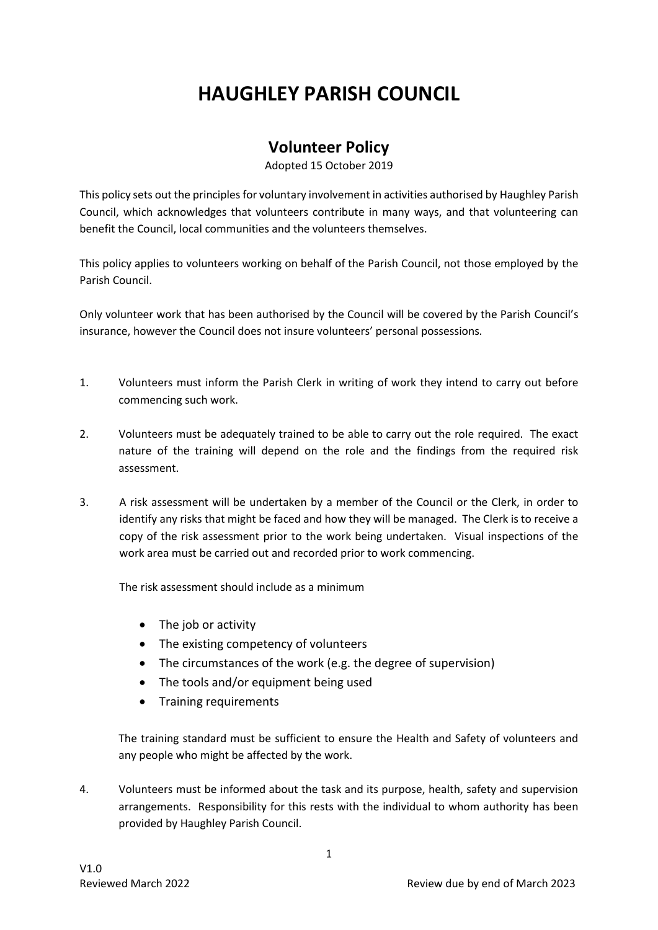## **HAUGHLEY PARISH COUNCIL**

## **Volunteer Policy**

Adopted 15 October 2019

This policy sets out the principles for voluntary involvement in activities authorised by Haughley Parish Council, which acknowledges that volunteers contribute in many ways, and that volunteering can benefit the Council, local communities and the volunteers themselves.

This policy applies to volunteers working on behalf of the Parish Council, not those employed by the Parish Council.

Only volunteer work that has been authorised by the Council will be covered by the Parish Council's insurance, however the Council does not insure volunteers' personal possessions.

- 1. Volunteers must inform the Parish Clerk in writing of work they intend to carry out before commencing such work.
- 2. Volunteers must be adequately trained to be able to carry out the role required. The exact nature of the training will depend on the role and the findings from the required risk assessment.
- 3. A risk assessment will be undertaken by a member of the Council or the Clerk, in order to identify any risks that might be faced and how they will be managed. The Clerk is to receive a copy of the risk assessment prior to the work being undertaken. Visual inspections of the work area must be carried out and recorded prior to work commencing.

The risk assessment should include as a minimum

- The job or activity
- The existing competency of volunteers
- The circumstances of the work (e.g. the degree of supervision)
- The tools and/or equipment being used
- Training requirements

The training standard must be sufficient to ensure the Health and Safety of volunteers and any people who might be affected by the work.

4. Volunteers must be informed about the task and its purpose, health, safety and supervision arrangements. Responsibility for this rests with the individual to whom authority has been provided by Haughley Parish Council.